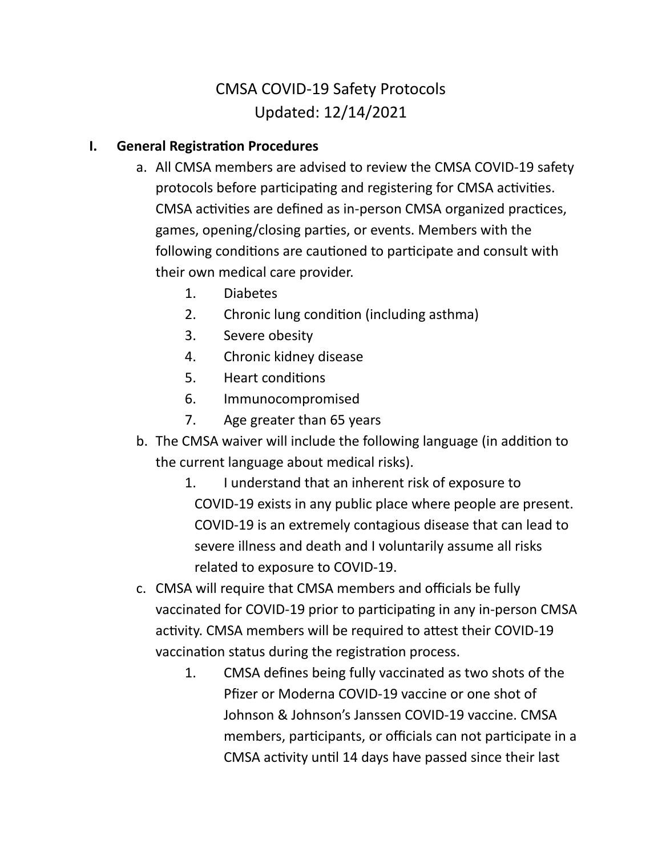# CMSA COVID-19 Safety Protocols Updated: 12/14/2021

## **I.** General Registration Procedures

- a. All CMSA members are advised to review the CMSA COVID-19 safety protocols before participating and registering for CMSA activities. CMSA activities are defined as in-person CMSA organized practices, games, opening/closing parties, or events. Members with the following conditions are cautioned to participate and consult with their own medical care provider.
	- 1. Diabetes
	- 2. Chronic lung condition (including asthma)
	- 3. Severe obesity
	- 4. Chronic kidney disease
	- 5. Heart conditions
	- 6. Immunocompromised
	- 7. Age greater than 65 years
- b. The CMSA waiver will include the following language (in addition to the current language about medical risks).
	- 1. I understand that an inherent risk of exposure to COVID-19 exists in any public place where people are present. COVID-19 is an extremely contagious disease that can lead to severe illness and death and I voluntarily assume all risks related to exposure to COVID-19.
- c. CMSA will require that CMSA members and officials be fully vaccinated for COVID-19 prior to participating in any in-person CMSA activity. CMSA members will be required to attest their COVID-19 vaccination status during the registration process.
	- 1. CMSA defines being fully vaccinated as two shots of the Pfizer or Moderna COVID-19 vaccine or one shot of Johnson & Johnson's Janssen COVID-19 vaccine. CMSA members, participants, or officials can not participate in a CMSA activity until 14 days have passed since their last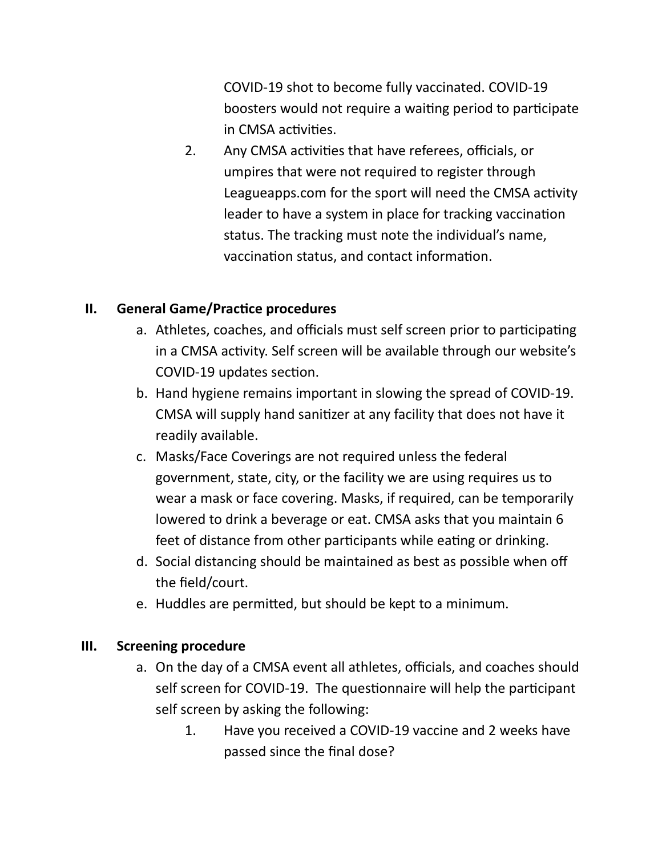COVID-19 shot to become fully vaccinated. COVID-19 boosters would not require a waiting period to participate in CMSA activities.

2. Any CMSA activities that have referees, officials, or umpires that were not required to register through Leagueapps.com for the sport will need the CMSA activity leader to have a system in place for tracking vaccination status. The tracking must note the individual's name, vaccination status, and contact information.

# **II.** General Game/Practice procedures

- a. Athletes, coaches, and officials must self screen prior to participating in a CMSA activity. Self screen will be available through our website's COVID-19 updates section.
- b. Hand hygiene remains important in slowing the spread of COVID-19. CMSA will supply hand sanitizer at any facility that does not have it readily available.
- c. Masks/Face Coverings are not required unless the federal government, state, city, or the facility we are using requires us to wear a mask or face covering. Masks, if required, can be temporarily lowered to drink a beverage or eat. CMSA asks that you maintain 6 feet of distance from other participants while eating or drinking.
- d. Social distancing should be maintained as best as possible when off the field/court.
- e. Huddles are permitted, but should be kept to a minimum.

#### **III. Screening procedure**

- a. On the day of a CMSA event all athletes, officials, and coaches should self screen for COVID-19. The questionnaire will help the participant self screen by asking the following:
	- 1. Have you received a COVID-19 vaccine and 2 weeks have passed since the final dose?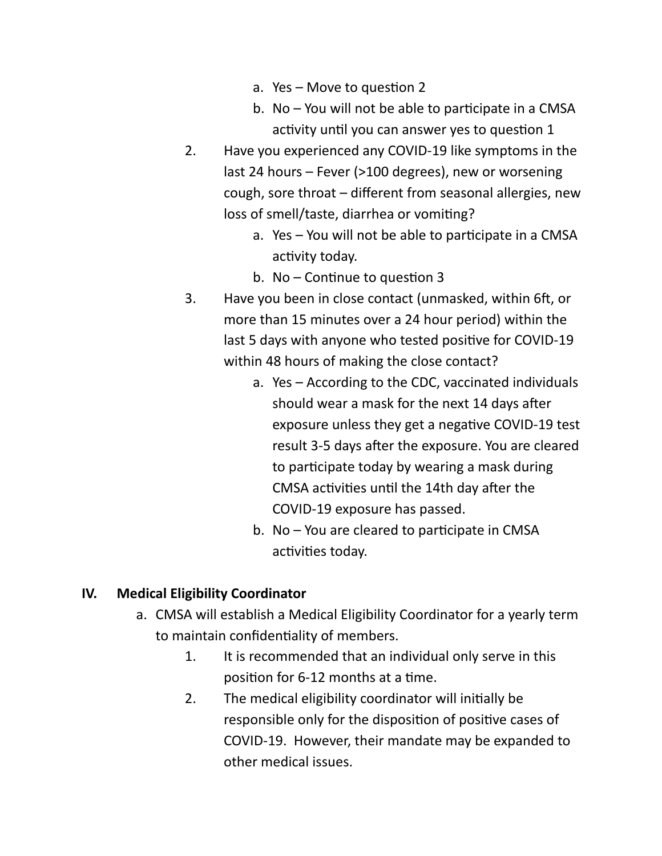- a. Yes  $-$  Move to question 2
- b. No  $-$  You will not be able to participate in a CMSA activity until you can answer yes to question 1
- 2. Have you experienced any COVID-19 like symptoms in the last 24 hours – Fever (>100 degrees), new or worsening cough, sore throat – different from seasonal allergies, new loss of smell/taste, diarrhea or vomiting?
	- a. Yes You will not be able to participate in a CMSA activity today.
	- b. No Continue to question  $3$
- 3. Have you been in close contact (unmasked, within 6ft, or more than 15 minutes over a 24 hour period) within the last 5 days with anyone who tested positive for COVID-19 within 48 hours of making the close contact?
	- a. Yes According to the CDC, vaccinated individuals should wear a mask for the next 14 days after exposure unless they get a negative COVID-19 test result 3-5 days after the exposure. You are cleared to participate today by wearing a mask during CMSA activities until the 14th day after the COVID-19 exposure has passed.
	- b. No  $-$  You are cleared to participate in CMSA activities today.

#### **IV. Medical Eligibility Coordinator**

- a. CMSA will establish a Medical Eligibility Coordinator for a yearly term to maintain confidentiality of members.
	- 1. It is recommended that an individual only serve in this position for 6-12 months at a time.
	- 2. The medical eligibility coordinator will initially be responsible only for the disposition of positive cases of COVID-19. However, their mandate may be expanded to other medical issues.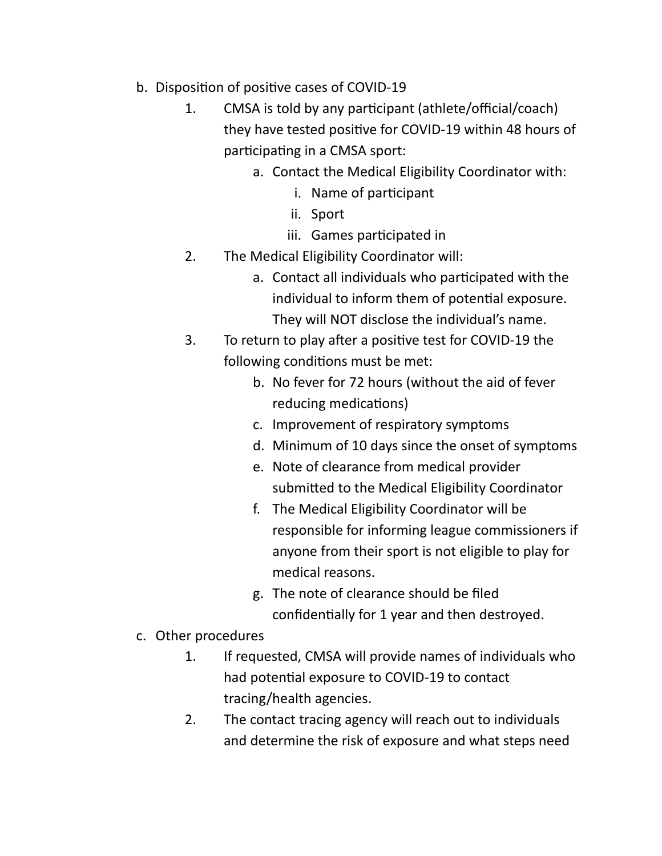- b. Disposition of positive cases of COVID-19
	- 1. CMSA is told by any participant (athlete/official/coach) they have tested positive for COVID-19 within 48 hours of participating in a CMSA sport:
		- a. Contact the Medical Eligibility Coordinator with:
			- i. Name of participant
			- ii. Sport
			- iii. Games participated in
	- 2. The Medical Eligibility Coordinator will:
		- a. Contact all individuals who participated with the individual to inform them of potential exposure. They will NOT disclose the individual's name.
	- 3. To return to play after a positive test for COVID-19 the following conditions must be met:
		- b. No fever for 72 hours (without the aid of fever reducing medications)
		- c. Improvement of respiratory symptoms
		- d. Minimum of 10 days since the onset of symptoms
		- e. Note of clearance from medical provider submitted to the Medical Eligibility Coordinator
		- f. The Medical Eligibility Coordinator will be responsible for informing league commissioners if anyone from their sport is not eligible to play for medical reasons.
		- g. The note of clearance should be filed confidentially for 1 year and then destroyed.
- c. Other procedures
	- 1. If requested, CMSA will provide names of individuals who had potential exposure to COVID-19 to contact tracing/health agencies.
	- 2. The contact tracing agency will reach out to individuals and determine the risk of exposure and what steps need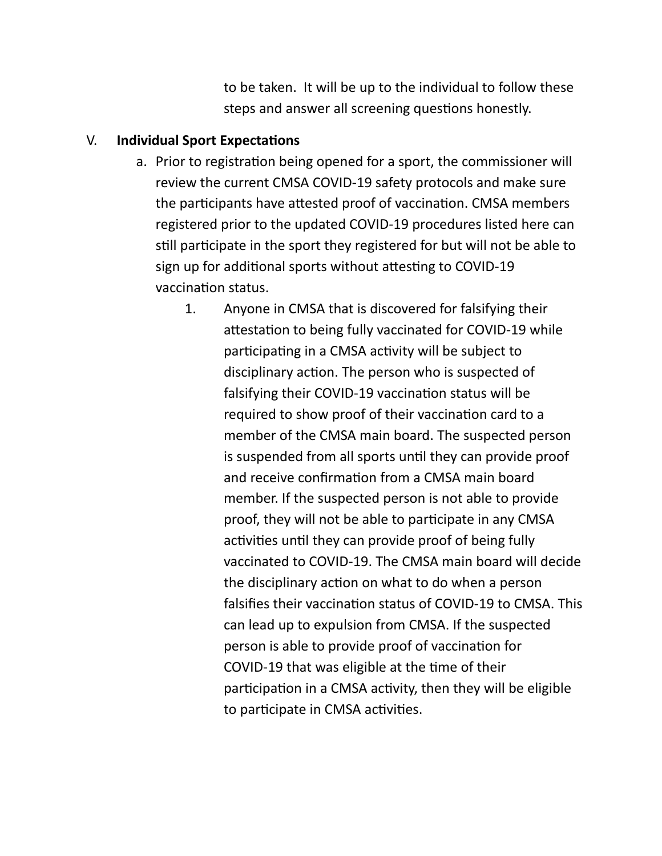to be taken. It will be up to the individual to follow these steps and answer all screening questions honestly.

## V. **Individual Sport Expectations**

- a. Prior to registration being opened for a sport, the commissioner will review the current CMSA COVID-19 safety protocols and make sure the participants have attested proof of vaccination. CMSA members registered prior to the updated COVID-19 procedures listed here can still participate in the sport they registered for but will not be able to sign up for additional sports without attesting to COVID-19 vaccination status.
	- 1. Anyone in CMSA that is discovered for falsifying their attestation to being fully vaccinated for COVID-19 while participating in a CMSA activity will be subject to disciplinary action. The person who is suspected of falsifying their COVID-19 vaccination status will be required to show proof of their vaccination card to a member of the CMSA main board. The suspected person is suspended from all sports until they can provide proof and receive confirmation from a CMSA main board member. If the suspected person is not able to provide proof, they will not be able to participate in any CMSA activities until they can provide proof of being fully vaccinated to COVID-19. The CMSA main board will decide the disciplinary action on what to do when a person falsifies their vaccination status of COVID-19 to CMSA. This can lead up to expulsion from CMSA. If the suspected person is able to provide proof of vaccination for COVID-19 that was eligible at the time of their participation in a CMSA activity, then they will be eligible to participate in CMSA activities.